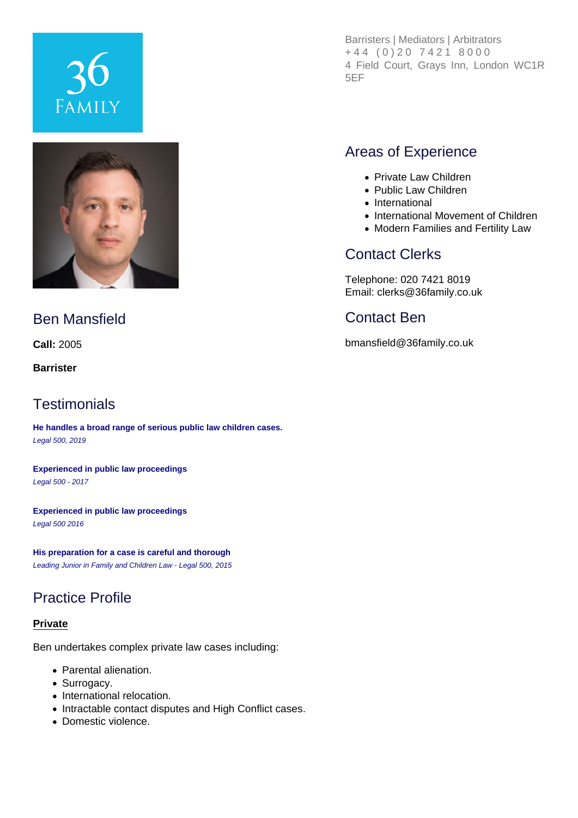# **FAMILY**



# Ben Mansfield

**Call:** 2005

**Barrister**

## **Testimonials**

**He handles a broad range of serious public law children cases.** Legal 500, 2019

**Experienced in public law proceedings** Legal 500 - 2017

**Experienced in public law proceedings** Legal 500 2016

**His preparation for a case is careful and thorough** Leading Junior in Family and Children Law - Legal 500, 2015

# Practice Profile

#### **Private**

Ben undertakes complex private law cases including:

- Parental alienation.
- Surrogacy.
- International relocation.
- Intractable contact disputes and High Conflict cases.
- Domestic violence.

Barristers | Mediators | Arbitrators +44 (0)20 7421 8000 4 Field Court, Grays Inn, London WC1R 5EF

# Areas of Experience

- Private Law Children
- Public Law Children
- International
- International Movement of Children
- Modern Families and Fertility Law

# Contact Clerks

Telephone: 020 7421 8019 Email: clerks@36family.co.uk

# Contact Ben

bmansfield@36family.co.uk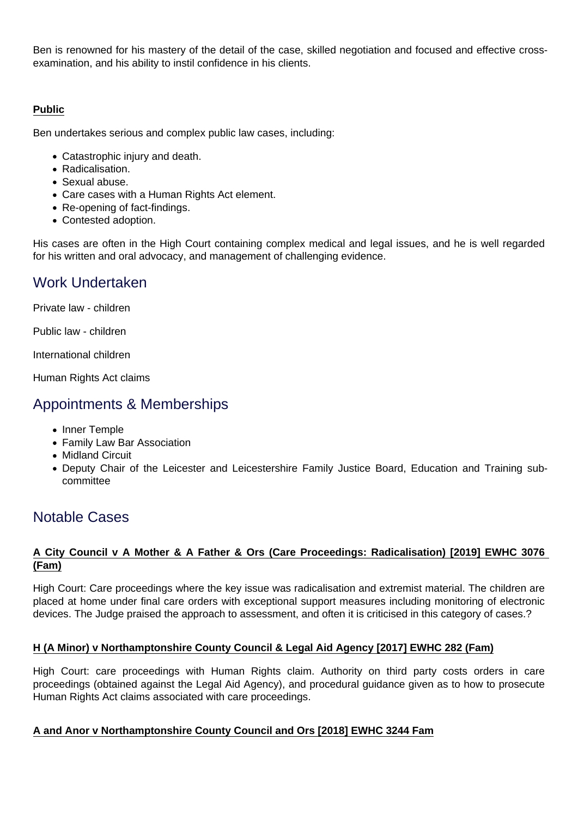Ben is renowned for his mastery of the detail of the case, skilled negotiation and focused and effective crossexamination, and his ability to instil confidence in his clients.

## **Public**

Ben undertakes serious and complex public law cases, including:

- Catastrophic injury and death.
- Radicalisation.
- Sexual abuse.
- Care cases with a Human Rights Act element.
- Re-opening of fact-findings.
- Contested adoption.

His cases are often in the High Court containing complex medical and legal issues, and he is well regarded for his written and oral advocacy, and management of challenging evidence.

## Work Undertaken

Private law - children

Public law - children

International children

Human Rights Act claims

## Appointments & Memberships

- Inner Temple
- Family Law Bar Association
- Midland Circuit
- Deputy Chair of the Leicester and Leicestershire Family Justice Board, Education and Training subcommittee

## Notable Cases

## **A City Council v A Mother & A Father & Ors (Care Proceedings: Radicalisation) [2019] EWHC 3076 (Fam)**

High Court: Care proceedings where the key issue was radicalisation and extremist material. The children are placed at home under final care orders with exceptional support measures including monitoring of electronic devices. The Judge praised the approach to assessment, and often it is criticised in this category of cases.?

## **H (A Minor) v Northamptonshire County Council & Legal Aid Agency [2017] EWHC 282 (Fam)**

High Court: care proceedings with Human Rights claim. Authority on third party costs orders in care proceedings (obtained against the Legal Aid Agency), and procedural guidance given as to how to prosecute Human Rights Act claims associated with care proceedings.

## **A and Anor v Northamptonshire County Council and Ors [2018] EWHC 3244 Fam**